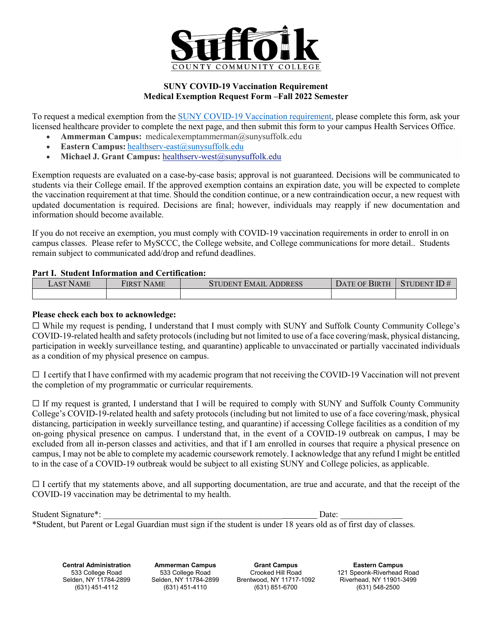

## **Medical Exemption Request Form –Fall 2022 Semester SUNY COVID-19 Vaccination Requirement**

To request a medical exemption from the [SUNY COVID-19 Vaccination requirement,](https://www.suny.edu/sunypp/documents.cfm?doc_id=900) please complete this form, ask your licensed healthcare provider to complete the next page, and then submit this form to your campus Health Services Office.

- **Ammerman Campus:** medicalexemptammerman@sunysuffolk.edu
- **Eastern Campus:** [healthserv-east@sunysuffolk.edu](mailto:healthserv-east@sunysuffolk.edu)
- Michael J. Grant Campus: healthserv-west@sunysuffolk.edu

Exemption requests are evaluated on a case-by-case basis; approval is not guaranteed. Decisions will be communicated to students via their College email. If the approved exemption contains an expiration date, you will be expected to complete the vaccination requirement at that time. Should the condition continue, or a new contraindication occur, a new request with updated documentation is required. Decisions are final; however, individuals may reapply if new documentation and information should become available.

If you do not receive an exemption, you must comply with COVID-19 vaccination requirements in order to enroll in on campus classes. Please refer to MySCCC, the College website, and College communications for more detail.. Students remain subject to communicated add/drop and refund deadlines.

## **Part I. Student Information and Certification:**

| $\mathcal{L}$ AST NAME | <b>FIRST NAME</b> | <b>STUDENT EMAIL ADDRESS</b> | DATE OF BIRTH $\mid$ STUDENT ID # |  |  |
|------------------------|-------------------|------------------------------|-----------------------------------|--|--|
|                        |                   |                              |                                   |  |  |

#### **Please check each box to acknowledge:**

 ☐ While my request is pending, I understand that I must comply with SUNY and Suffolk County Community College's COVID-19-related health and safety protocols (including but not limited to use of a face covering/mask, physical distancing, participation in weekly surveillance testing, and quarantine) applicable to unvaccinated or partially vaccinated individuals as a condition of my physical presence on campus.

□ I certify that I have confirmed with my academic program that not receiving the COVID-19 Vaccination will not prevent the completion of my programmatic or curricular requirements.

 distancing, participation in weekly surveillance testing, and quarantine) if accessing College facilities as a condition of my on-going physical presence on campus. I understand that, in the event of a COVID-19 outbreak on campus, I may be excluded from all in-person classes and activities, and that if I am enrolled in courses that require a physical presence on campus, I may not be able to complete my academic coursework remotely. I acknowledge that any refund I might be entitled  $\Box$  If my request is granted, I understand that I will be required to comply with SUNY and Suffolk County Community College's COVID-19-related health and safety protocols (including but not limited to use of a face covering/mask, physical to in the case of a COVID-19 outbreak would be subject to all existing SUNY and College policies, as applicable.

 ☐ I certify that my statements above, and all supporting documentation, are true and accurate, and that the receipt of the COVID-19 vaccination may be detrimental to my health.

| Student Signature*:                                                                                               | Date: |  |
|-------------------------------------------------------------------------------------------------------------------|-------|--|
| *Student, but Parent or Legal Guardian must sign if the student is under 18 years old as of first day of classes. |       |  |

**Central Administration**  533 College Road Selden, NY 11784-2899<br>(631) 451-4112

**Ammerman Campus** 533 College Road Selden, NY 11784-2899<br>(631) 451-4110

**Grant Campus** Crooked Hill Road Brentwood, NY 11717-1092 (631) 851-6700

**Eastern Campus** 121 Speonk-Riverhead Road Riverhead, NY 11901-3499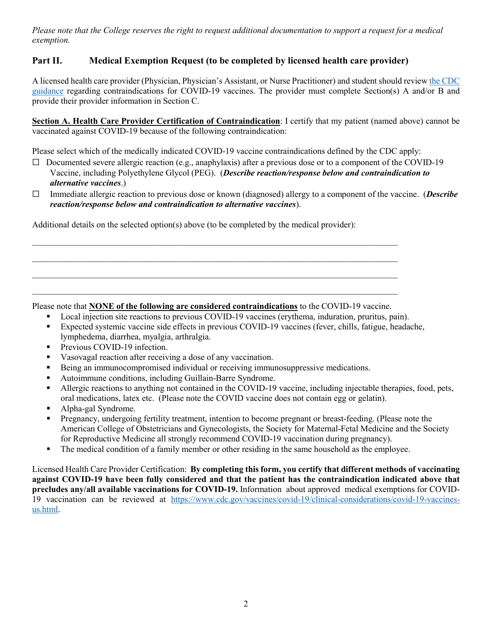*Please note that the College reserves the right to request additional documentation to support a request for a medical exemption.* 

# **Part II. Medical Exemption Request (to be completed by licensed health care provider)**

[guidance](https://www.cdc.gov/vaccines/covid-19/clinical-considerations/covid-19-vaccines-us.html) regarding contraindications for COVID-19 vaccines. The provider must complete Section(s) A and/or B and A licensed health care provider (Physician, Physician's Assistant, or Nurse Practitioner) and student should review [the CDC](https://www.cdc.gov/vaccines/covid-19/clinical-considerations/covid-19-vaccines-us.html)  provide their provider information in Section C.

|  |  | Section A. Health Care Provider Certification of Contraindication: I certify that my patient (named above) cannot be |  |  |  |  |
|--|--|----------------------------------------------------------------------------------------------------------------------|--|--|--|--|
|  |  | vaccinated against COVID-19 because of the following contraindication:                                               |  |  |  |  |

Please select which of the medically indicated COVID-19 vaccine contraindications defined by the CDC apply:

- ☐ Documented severe allergic reaction (e.g., anaphylaxis) after a previous dose or to a component of the COVID-19 Vaccine, including Polyethylene Glycol (PEG). (*Describe reaction/response below and contraindication to alternative vaccines*.)
- ☐ Immediate allergic reaction to previous dose or known (diagnosed) allergy to a component of the vaccine. (*Describe reaction/response below and contraindication to alternative vaccines*).

Additional details on the selected option(s) above (to be completed by the medical provider):

Please note that **NONE of the following are considered contraindications** to the COVID-19 vaccine.

 $\mathcal{L}_\text{max}$  , and the contract of the contract of the contract of the contract of the contract of the contract of

 $\mathcal{L}_\text{max}$  , and the contract of the contract of the contract of the contract of the contract of the contract of

 $\mathcal{L}_\text{max}$  , and the contract of the contract of the contract of the contract of the contract of the contract of

 $\mathcal{L}_\text{max}$  , and the contract of the contract of the contract of the contract of the contract of the contract of

- **Local injection site reactions to previous COVID-19 vaccines (erythema, induration, pruritus, pain).**
- Expected systemic vaccine side effects in previous COVID-19 vaccines (fever, chills, fatigue, headache, lymphedema, diarrhea, myalgia, arthralgia.
- **Previous COVID-19 infection.**
- vasovagal reaction after receiving a dose of any vaccination.
- Being an immunocompromised individual or receiving immunosuppressive medications.
- Autoimmune conditions, including Guillain-Barre Syndrome.
- Allergic reactions to anything not contained in the COVID-19 vaccine, including injectable therapies, food, pets, oral medications, latex etc. (Please note the COVID vaccine does not contain egg or gelatin).
- Alpha-gal Syndrome.
- for Reproductive Medicine all strongly recommend COVID-19 vaccination during pregnancy). Pregnancy, undergoing fertility treatment, intention to become pregnant or breast-feeding. (Please note the American College of Obstetricians and Gynecologists, the Society for Maternal-Fetal Medicine and the Society
- The medical condition of a family member or other residing in the same household as the employee.

 Licensed Health Care Provider Certification: **By completing this form, you certify that different methods of vaccinating against COVID-19 have been fully considered and that the patient has the contraindication indicated above that precludes any/all available vaccinations for COVID-19.** Information about approved medical exemptions for COVID-19 vaccination can be reviewed at [https://www.cdc.gov/vaccines/covid-19/clinical-considerations/covid-19-vaccines](https://www.cdc.gov/vaccines/covid-19/clinical-considerations/covid-19-vaccines-us.html)[us.html.](https://www.cdc.gov/vaccines/covid-19/clinical-considerations/covid-19-vaccines-us.html)